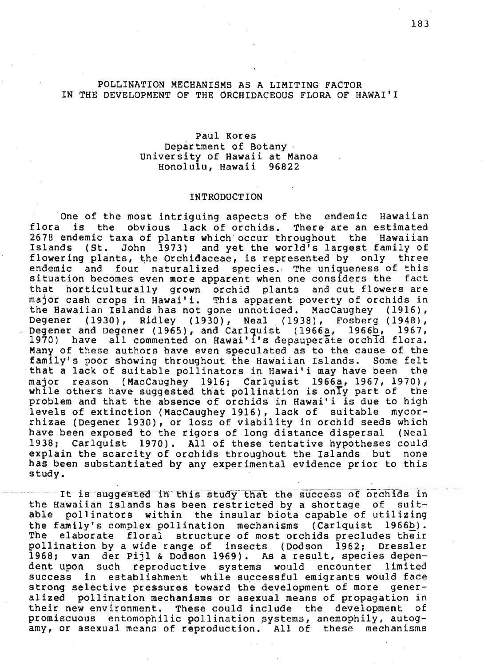## POLLINATION MECHANISMS AS A LIMITING FACTOR IN THE DEVELOPMENT OF THE ORCHIDACEOUS FLORA OF HAWAI'!

# Paul Kores Department of Botany . University of Hawaii at Manoa Honolulu, Hawaii 96822

## INTRODUCTION

One of the most intriguing aspects of the endemic Hawaiian flora is the obvious lack of orchids. There are an estimated 2678 endemic taxa of plants which occur throughout the Hawaiian<br>Islands (St. John 1973) and yet the world's largest family of (St. John  $1973$ ) and yet the world's largest family of flowering plants, the Orchidaceae, is represented by only three endemic and four naturalized species., The uniqueness of this situation becomes even more apparent when one considers the fact<br>that horticulturally grown orchid plants and cut flowers are that horticulturally grown orchid plants major cash crops in Hawai'i. This apparent poverty of orchids in the Hawaiian Islands has not gone unnoticed. MacCaughey (1916), Degener (1930), Ridley (1930), Neal (1938), Fosberg (1948),<br>Degener and Degener (1965), and Carlquist (1966a, 1966b, 1967, Degener and Degener (1965), and Carlquist (1966a, 1966b, 1967)<br>1970) have all commented on Hawai'i's depauperate orchid have all commented on Hawai'i's depauperate orchId flora. Many of these authors have even speculated as to the cause of the family's poor showing throughout the Hawaiian Islands. Some felt<br>that a lack of suitable pollinators in Hawai'i may have been the that a lack of suitable pollinators in Hawai'i may have been major reason (MacCaughey 1916; Carlquist 1966a, 1967, 1970), while others have suggested that pollination is only part of the problem and that the absence of orchids in Hawai'i is due to high levels of extinction (MacCaughey 1916), lack of suitable mycorrhizae (Degener 1930), or loss of viability in orchid seeds which have been exposed to the rigors of long distance dispersal (Neal 1938; Carlquist 1970). All of these tentative hypotheses could explain the scarcity of orchids throughout the Islands but none explain the scarcity of orchids throughout the Islands but has been substantiated by any experimental evidence prior to this study.<br>study.

It is suggested in this study that the success of orchids in the Hawaiian Islands has been restricted by a shortage of suitable pollinators within the insular biota capable of utilizing the family's complex pollination mechanisms (Carlquist 1966b).<br>The elaborate floral structure of most orchids precludes their elaborate floral structure of most orchids precludes their pollination by a wide range of linsects (Dodson 1962; Dressler<br>1968; van der Pijl & Dodson 1969). As a result, species depenvan der Pijl & Dodson 1969). As a result, species dependent upon such reproductive systems would encounter limited success in establishment while successful emigrants would face strong selective pressures toward the development of more generalized pollination mechanisms or asexual means of propagation in their new environment. These could include the development of promiscuous entomophilic pollination systems, anemophily, autogamy, or asexual means of reproduction. All of these mechanisms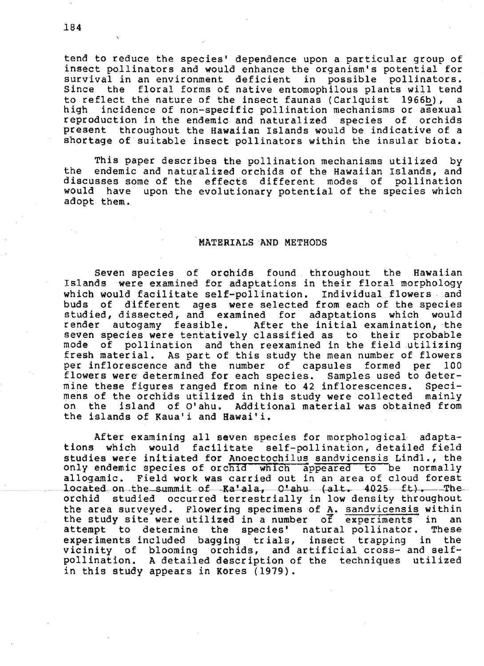tend to reduce the species' dependence upon a particular group of insect pollinators and would enhance the organism's potential for since the floral forms of native entomophilous plants will tend to reflect the nature of the insect faunas (Carlquist 1966b), a<br>high incidence of non-specific pollination mechanisms or asexual incidence of non-specific pollination mechanisms or asexual reproduction in the endemic and naturalized species of orchids present throughout the Hawaiian Islands would be indicative of a shortage of suitable insect pollinators within the insular biota.

This paper describes the pollination mechanisms utilized by the endemic and naturalized orchids of the Hawaiian Islands, and discusses some of the effects different modes of pollination would have upon the evolutionary potential of the species which adopt them.

## MATERIALS AND METHODS

Seven species of orchids found throughout the Hawaiian Islands were examined for adaptations in their floral morphology which would facilitate self-pollination. Individual flowers and<br>buds of different ages were selected from each of the species studied, dissected, and examined for adaptations which would render autogamy feasible. After the initial examination, the<br>seven species were tentatively classified as to their probable mode of pollination and then reexamined in the field utilizing fresh material. As part of this study the mean number of flowers per inflorescence and the number of capsules formed per 100 flowers were' determined for each species. Samples used to determine these figures ranged from nine to 42 inflorescences. Speci-<br>mens of the orchids utilized in this study were collected mainly mens of the orchids utilized in this study were collected on the island of O'ahu. Additional material was obtained from the islands of Kaua'i and Hawai'i.

After examining all seven species for morphological adaptations which would facilitate self-pollination, detailed field studies were initiated for Anoectochilus sandvicensis Lindl., the only endemic species of orchid which appeared to be normally allogamic. Field work was carried out in an area of cloud forest located on the summit of Ka'ala, O'ahu (alt. 4025 ft). The orchid studied occurred terrestrially in low density throughout the area surveyed. Flowering specimens of A. sandvicensis within the study site were utilized in a number of experiments in an attempt to determine the species' natural pollinator. These attempt to determine the species' natural pollinator. experiments included bagging trials, insect trapping in the vicinity of blooming orchids, and artificial cross- and selfpollination. A detailed description of the techniques utilized in this study appears in Kores (1979).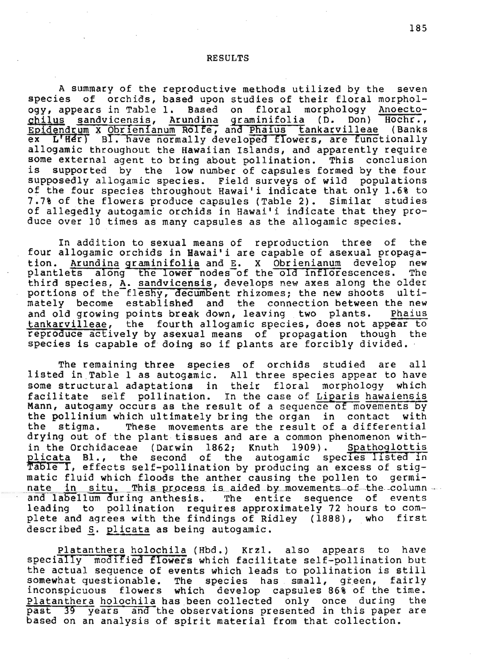#### RESULTS

A summary of the reproductive methods utilized by the seven species of orchids, based upon studies of their floral morphology, appears in Table 1. Based on floral morphology Anoecto- ~hilys sandvicensis, Arundina graminifolia (D. Don) Hochr., Epidendrum X Obrienianum Rolfe, and Phaius tankarvilleae (Banks  $ex$  L'Her) BI. have normally developed flowers, are functionally allogamic throughout the Hawaiian Islands, and apparently require some external agent to bring about pollination. This conclusion is supported by the low number of capsules formed by the four supposedly allogamic species. Field surveys of wild populations of the four species throughout Hawaili indicate that only 1.6% to 7.7% of the flowers produce capsules (Table 2). Similar studies of allegedly autogamic orchids in Hawaili indicate that they produce over 10 times as many capsules as the allogamic species.

In addition to sexual means of reproduction three of the four allogamic orchids in Hawai'i are capable of asexual propaga-<br>tion. Arundina graminifolia and E. X Obrienianum develop new Arundina graminifolia and E. X Obrienianum develop new plantlets along the lower nodes of the old inflorescences. third species, A. sandvicensis, develops new axes along the older portions of the fleshy, decumbent rhizomes; the new shoots ultimately become established and the connection between the new<br>and old growing points break down, leaving two plants. Phaius and old growing points break down, leaving two plants. tankarvilleae, the fourth allogamic species, does not appear to reproduce actively by asexual means of propagation though the species is capable of doing so if plants are forcibly divided.

The remaining three species of orchids studied are all listed in Table I as autogamic. All three species appear to have some structural adaptations in their floral morphology which<br>facilitate self pollination. In the case of Liparis hawaiensis In the case of Liparis hawaiensis Mann, autogamy occurs as the result of a sequence of movements by the pollinium which ultimately bring the organ in contact with<br>the stigma. These movements are the result of a differential stigma. These movements are the result of a differential drying out of the plant tissues and are a common phenomenon within the Orchidaceae (Darwin 1862; Knuth 1909). Spathoglottis plicata Bl., the second of the autogamic species listed in prisoned bill, the second of the adrogamic species fisced in matic fluid which floods the anther causing the pollen to germi-<br>nate in situ. This process is aided by movements of the column and labellum during anthesis. The entire sequence of events leading to pollination requires approximately 72 hours to complete and agrees with the findings of Ridley (1888), who first described S. plicata as being autogamic.

Platanthera holochila (Hbd.) Krzl. also appears to have specially modified flowers which facilitate self-pollination but the actual sequence of events which leads to pollination is still<br>somewhat questionable. The species has small, green, fairly somewhere green-needs which develop capsules 86% of the time.<br>Platanthera holochila has been collected only once during the Platanthera holochila has been collected only once during past 39 years and the observations presented in this paper are based on an analysis of spirit material from that collection.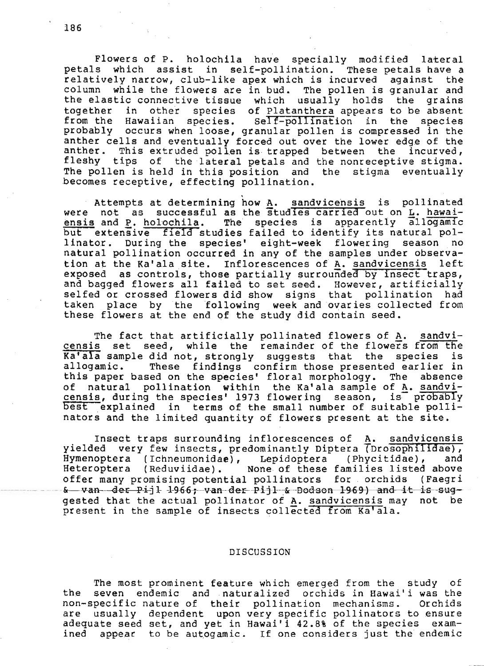Flowers of P. holochila have specially modified lateral petals which assist in self-pollination. These petals have a relatively narrow, club-like apex which is incurved against the column while the flowers are in bud. The pollen is granular and the elastic connective tissue which usually holds the grains together in other species of Platanthera appears to be absent from the Hawaiian species. self-pollination in the species probably occurs when loose, granular pollen is compressed in the anther cells and eventually forced out over the lower edge of the anther. This extruded pollen is trapped between the incurved, fleshy tips of the lateral petals and the nonreceptive stigma. The pollen is held in this position and the stigma eventually becomes receptive, effecting pollination.

. Attempts at determining how A. sandvicehsis is pollinated were not as successful as the studies carried out on L. hawaiensis and P. holochila. The species is apparently allogamic but extensive field studies failed to identify its natural pollinator. During the species' eight-week flowering season no natural pollination occurred in any of the samples under observa-<br>tion at the Ka'ala site. Inflorescences of A. sandvicensis left tion at the Ka'ala site. Inflorescences of A. sandvicensis exposed as controls, those partially surrounded by insect traps, and bagged flowers all failed to set seed. However, artificially selfed or crossed flowers did show signs that pollination had taken place by the following week and ovaries collected from these flowers at the end of the study did contain seed.

The fact that artificially pollinated flowers of A. sandvicensis set seed, while the remainder of the flowers from the Ka'ala sample did not, strongly suggests that the species is<br>allogamic. These findings confirm those presented earlier in These findings confirm those presented earlier in this paper based on the species' floral morphology. The absence<br>of natural pollination within the Ka'ala sample of A. sandvinatural pollination within the Ka'ala sample of A. sandvicensis, during the species' 1973 flowering season, is  $\overline{p}$  probably best explained in terms of the small number of suitable pollinators and the limited quantity of flowers present at the site.

Insect traps surrounding inflorescences of A. sandvicensis yielded very few insects, predominantly Diptera (Drosophilidae), Hymenoptera (Ichneumonidae), Lepidoptera (Phycitidae), and Heteroptera (Reduviidae). None of these families listed above offer many promising potential pollinators for orchids (Faegri ---------- - -- -&---v--a-n-·~·e-r--P-i-j 1- -1-9-6-6-;--v-an-cl-e-J;---p-i-j 1--~-&--8ocl-s-en-1-9;6-9-)~d---i-t-i-s--s-\;l<3-- gested that the actual pollinator of A. sandvicensis may not be present in the sample of insects collected from Ka'ala.

#### DISCUSSION

The most prominent feature which emerged from the study of the seven endemic and naturalized orchids in Hawaili was the non-specific nature of their pollination mechanisms. Orchids are usually dependent upon very specific pollinators to ensure adequate seed set, and yet in Hawai'i 42.8% of the species examined appeae to be autogamic. If one considers just the endemic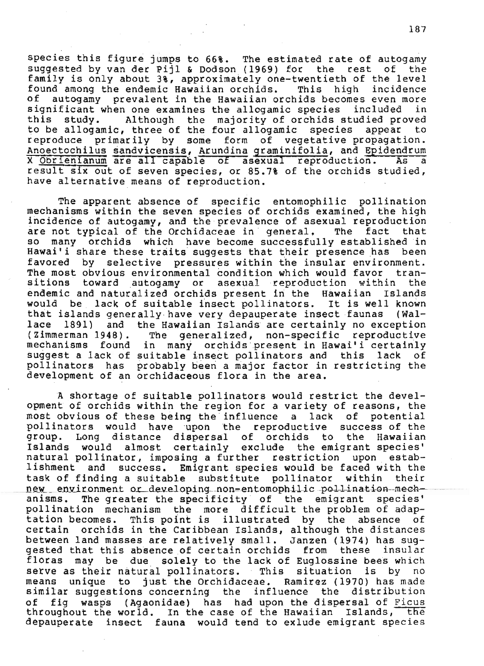species this figure jumps to 66%. The estimated rate of autogamy<br>suggested by van der Pijl & Dodson (1969) for the rest of the suggested by van der Pijl & Dodson (1969) for the rest family is only about 3%, approximately one-twentieth of the level found among the endemic Hawaiian orchids. This high incidence of autogamy prevalent in the Hawaiian orchids becomes even more<br>significant when one examines the allogamic species included in significant when one examines the allogamic species this study. Although the majority of orchids studied proved to be allogamic, three of the four allogamic species appear to reproduce primarily by some form of vegetative propagation. Anoectachilus sandvicensis, Arundina graminifolia, and Epidendrum X Obrienianum are all capable of asexual reproduction. As a result six out of seven species, or 85.7% of the orchids studied, have alternative means of reproduction.

The apparent absence of specific entomophilic pollination mechanisms within the seven species of orchids examined, the high incidence of autogamy, and the prevalence of asexual reproduction are not typical of the Orchidaceae in general. The fact that so many orchids which have become successfully established in Hawai'i share these traits suggests that their presence has been favored by selective pressures within the insular environment.<br>The most obvious environmental condition which would favor tran-The most obvious environmental condition which would favor sitions toward autogamy or asexual reproduction within the endemic and naturalized orchids present in the Hawaiian Islands would be lack of suitable insect pollinators. It is well known that islands generally· have very depauperate insect faunas (Wallace 1891) and the Hawaiian Islands are certainly no exception (Zimmerman 1948). The generalized, non-specific reproductive The generalized, non-specific reproductive mechanisms found in many orchids present in Hawai'i certainly<br>suggest a lack of suitable insect pollinators and this lack of suggest a lack of suitable insect pollinators and this lack pollinators has probably been a major factor in restricting the development of an orchidaceous flora in the area.

A shortage of suitable pollinators would restrict the development of orchids within the region for a variety of reasons, the most obvious of these being the influence a lack of potential pollinators would have upon the reproductive success of the group. Long distance dispersal of orchids to the Hawaiian Long distance dispersal of orchids to the Hawaiian Islands would almost certainly exclude the emigrant species' natural pollinator, imposing a further restriction upon establishment and success. Emigrant species would be faced with the task of finding a suitable substitute pollinator within their<br>new environment or developing non-entomophilic pollination-mech-<br>anisms. The greater the specificity of the emigrant species' The greater the specificity of the emigrant species' pollination mechanism the more difficult the problem of adap-<br>tation becomes. This point is illustrated by the absence of This point is illustrated by the absence certain orchids in the Caribpean Islands, although the distances between land masses are relatively small. Janzen (1974) has suggested that this absence of certain orchids from these insular floras may be due solely to the lack of Euglossine bees which<br>serve as their natural pollinators. This situation is by no serve as their natural pollinators. This situation is by means unique to just the Orchidaceae. Ramirez (1970) has made similar suggestions concerning the influence the distribution of fig wasps (Agaonidae) has had upon the dispersal of Ficus throughout the world. In the case of the Hawaiian Islands, the depauperate insect fauna would tend to exlude emigrant species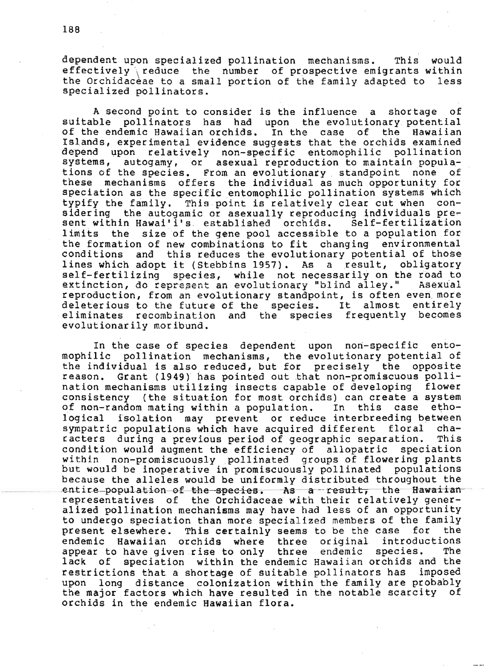dependent upon specialized pollination mechanisms. This would effectively reduce the number of prospective emigrants within the Orchidaceae to a small portion of the family adapted to less specialized pollinators.

A second point to consider is the influence a shortage of suitable pollinators has had upon the evolutionary potential of the endemic Hawaiian orchids. In the case of the Hawaiian Islands, experimental evidence suggests that the orchids examined depend upon relatively non-specific entomophilic pollination systems, autogamy, or asexual reproduction to maintain populations of the species. From an evolutionary standpoint none of these mechanisms offers the individual as much opportunity for speciation as the specific entomophilic pollination systems which typify the family. This point is relatively clear cut when considering the autogamic or asexually reproducing individuals present within Hawai'i's established orchids. Self-fertilization limits the size of the gene pool accessible to a population for the formation of new combinations to fit changing environmental conditions and this reduces the evolutionary potential of those lines which adopt it (Stebbins 1957). As a result, obligatory self-fertilizing species, while not necessarily on the road to extinction, do represent an evolutionary "blind alley." Asexual reproduction, from an evolutionary standpoint, is often even more deleterious to the future of the species. It almost entirely eliminates recombination and the species frequently becomes evolutionarily moribund.

In the case of species dependent upon non-specific entomophilic pollination mechanisms, the evolutionary potential of the individual is also reduced, but for precisely the opposite Grant (1949) has pointed out that non-promiscuous pollireason. nation mechanisms utilizing insects capable of developing flower consistency (the situation for most orchids) can create a system of non-random mating within a population. In this case ethological isolation may prevent or reduce interbreeding between sympatric populations which have acquired different floral  $cha$ racters during a previous period of geographic separation. This condition would augment the efficiency of allopatric speciation within non-promiscuously pollinated groups of flowering plants but would be inoperative in promiscuously pollinated populations because the alleles would be uniformly distributed throughout the entire population of the species. As a result, the Hawaiian representatives of the Orchidaceae with their relatively generalized pollination mechanisms may have had less of an opportunity to undergo speciation than more specialized members of the family present elsewhere. This certainly seems to be the case for the endemic Hawaiian orchids where three original introductions species. appear to have given rise to only three endemic The lack of speciation within the endemic Hawaiian orchids and the restrictions that a shortage of suitable pollinators has imposed upon long distance colonization within the family are probably the major factors which have resulted in the notable scarcity of orchids in the endemic Hawaiian flora.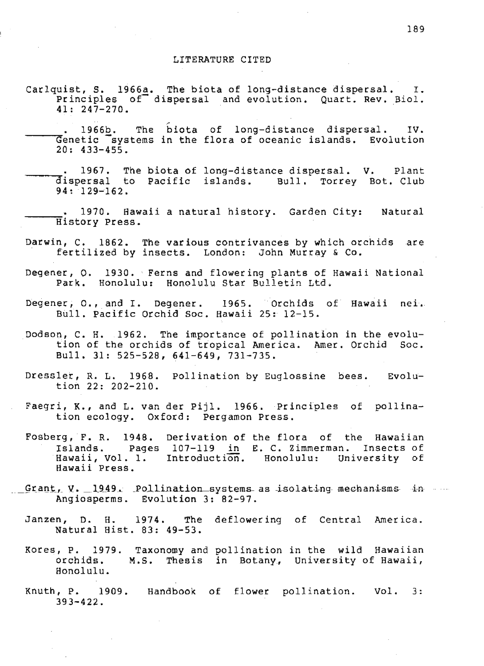- Carlquist, S. 1966a. The biota of long-distance dispersal.  $\mathbf{I}$ . Principles of dispersal and evolution. Quart. Rev. Biol.  $41:247-270.$
- The biota of long-distance dispersal. 1966b. IV. Genetic systems in the flora of oceanic islands. Evolution  $20:433-455.$
- 1967. The biota of long-distance dispersal. V. Plant dispersal to Pacific islands. Bull. Torrey Bot. Club  $94: 129-162.$
- 1970. Hawaii a natural history. Garden City: Natural History Press.
- Darwin, C. 1862. The various contrivances by which orchids are<br>fertilized by insects. London: John Murray & Co.
- Degener, Q. 1930. Ferns and flowering plants of Hawaii National Park. Honolulu: Honolulu Star Bulletin Ltd.
- Degener, O., and I. Degener. 1965. Orchids of Hawaii nei. Bull. Pacific Orchid Soc. Hawaii 25: 12-15.
- Dodson, C. H. 1962. The importance of pollination in the evolution of the orchids of tropical America. Amer. Orchid Soc. Bull. 31: 525-528, 641-649, 731-735.
- Dressler, R. L. 1968. Pollination by Euglossine bees. Evolution 22: 202-210.
- Faegri, K., and L. van der Pijl. 1966. Principles of pollination ecology. Oxford: Pergamon Press.
- Fosberg, F. R. 1948. Derivation of the flora of the Hawaiian Islands. Pages 107-119 in E. C. Zimmerman. Insects of<br>Hawaii, Vol. 1. Introduction. Honolulu: University of Hawaii Press.
- Grant, V. 1949. Pollination systems as isolating mechanisms in Angiosperms. Evolution 3: 82-97.
	- Janzen, D. H. 1974. The deflowering of Central America. Natural Hist. 83: 49-53.
	- Kores, P. 1979. Taxonomy and pollination in the wild Hawaiian orchids. M.S. Thesis in Botany, University of Hawaii, Honolulu.
	- Knuth, P. 1909. Handbook of flower pollination. Vol.  $3:$  $393 - 422$ .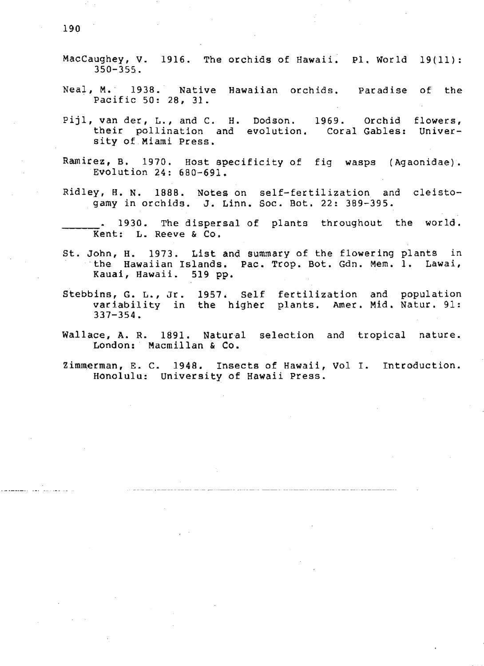- MacCaughey, v. 1916. The orchids of Hawaii. pl. World 19(11): 350-355.
- Neal, M. 1938. Native Hawaiian orchids. Paradise of the Pacific 50: 28, 31.
- flowers, their pollination and evolution. Coral Gables: Univer-1969. Orchid Pijl, van der, L., and C. H. Dodson. sity of Miami Press.
- Ramirez, B. 1970. Host specificity of fig wasps (Agaonidae). Eyolution 24: 680-691.
- Ridley, H. N. 1888. Notes on self-fertilization and cleistogamy in orchids. J. Linn. Soc. Bot. 22: 389-395.
- 1930. The dispersal of plants throughout the world. Kent: L. Reeve & Co.
- St. John, H. 1973. List and summary of the flowering plants in "the Hawaiian Islands. Pac. Trop. Bot. Gdn. Mem. 1. Lawai, Kaual, Hawaii. 519 pp.
- Stebbins, G. L., Jr. 1957. Self fertilization and population variability in the higher plants. Amer. Mid. Natur. 91: 337-354.
- Wallace, A. R. 1B91. Natural selection and tropical nature. London: Macmillan & Co.
- Zimmerman, E. C. 1948. Insects of Hawaii, Vol I. Introduction. Honolulu: University of Hawaii Press.